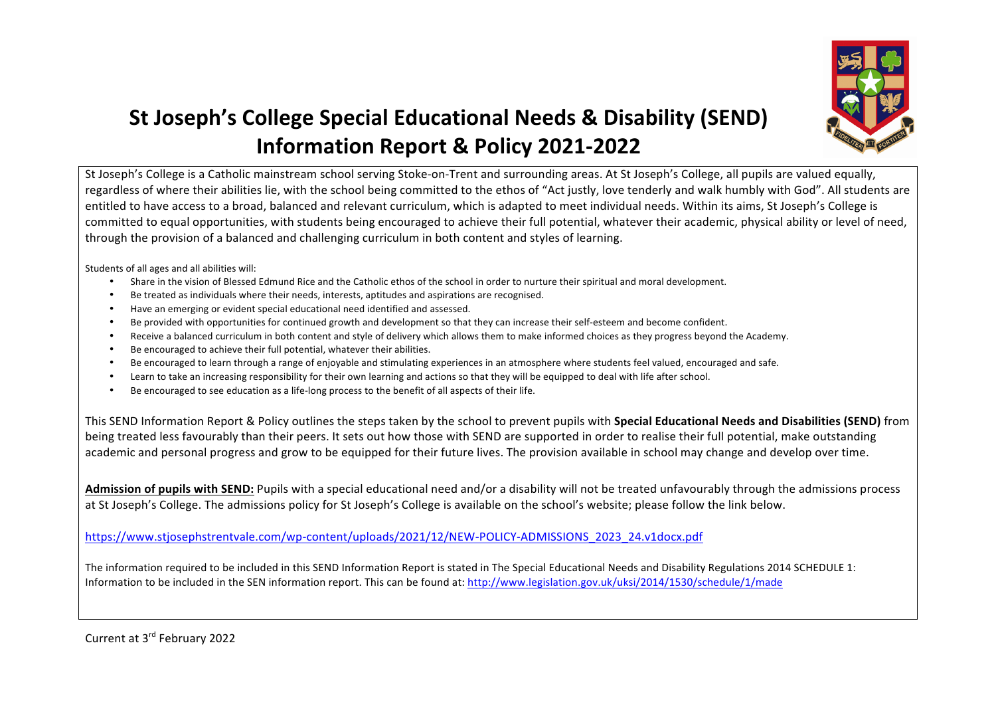

## **St Joseph's College Special Educational Needs & Disability (SEND) Information Report & Policy 2021-2022**

St Joseph's College is a Catholic mainstream school serving Stoke-on-Trent and surrounding areas. At St Joseph's College, all pupils are valued equally, regardless of where their abilities lie, with the school being committed to the ethos of "Act justly, love tenderly and walk humbly with God". All students are entitled to have access to a broad, balanced and relevant curriculum, which is adapted to meet individual needs. Within its aims, St Joseph's College is committed to equal opportunities, with students being encouraged to achieve their full potential, whatever their academic, physical ability or level of need, through the provision of a balanced and challenging curriculum in both content and styles of learning.

Students of all ages and all abilities will:

- Share in the vision of Blessed Edmund Rice and the Catholic ethos of the school in order to nurture their spiritual and moral development.
- Be treated as individuals where their needs, interests, aptitudes and aspirations are recognised.
- Have an emerging or evident special educational need identified and assessed.
- Be provided with opportunities for continued growth and development so that they can increase their self-esteem and become confident.
- Receive a balanced curriculum in both content and style of delivery which allows them to make informed choices as they progress beyond the Academy.
- Be encouraged to achieve their full potential, whatever their abilities.
- Be encouraged to learn through a range of enjoyable and stimulating experiences in an atmosphere where students feel valued, encouraged and safe.
- Learn to take an increasing responsibility for their own learning and actions so that they will be equipped to deal with life after school.
- Be encouraged to see education as a life-long process to the benefit of all aspects of their life.

This SEND Information Report & Policy outlines the steps taken by the school to prevent pupils with **Special Educational Needs and Disabilities (SEND)** from being treated less favourably than their peers. It sets out how those with SEND are supported in order to realise their full potential, make outstanding academic and personal progress and grow to be equipped for their future lives. The provision available in school may change and develop over time.

Admission of pupils with SEND: Pupils with a special educational need and/or a disability will not be treated unfavourably through the admissions process at St Joseph's College. The admissions policy for St Joseph's College is available on the school's website; please follow the link below.

https://www.stjosephstrentvale.com/wp-content/uploads/2021/12/NEW-POLICY-ADMISSIONS\_2023\_24.v1docx.pdf

The information required to be included in this SEND Information Report is stated in The Special Educational Needs and Disability Regulations 2014 SCHEDULE 1: Information to be included in the SEN information report. This can be found at: http://www.legislation.gov.uk/uksi/2014/1530/schedule/1/made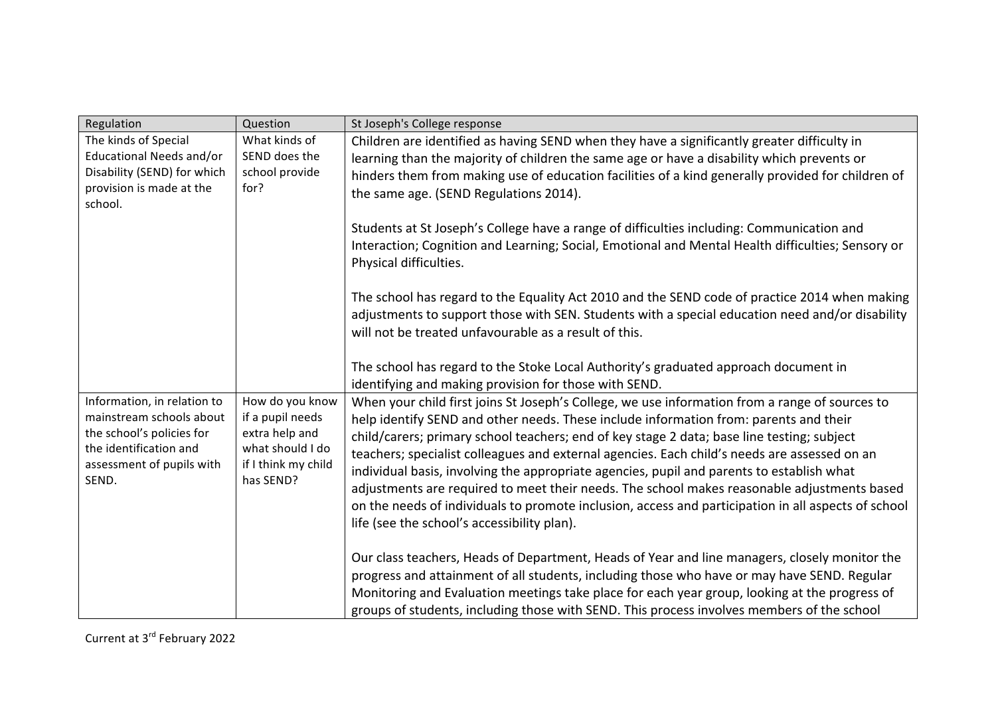| Regulation                                              | Question                           | St Joseph's College response                                                                        |
|---------------------------------------------------------|------------------------------------|-----------------------------------------------------------------------------------------------------|
| The kinds of Special                                    | What kinds of                      | Children are identified as having SEND when they have a significantly greater difficulty in         |
| Educational Needs and/or                                | SEND does the                      | learning than the majority of children the same age or have a disability which prevents or          |
| Disability (SEND) for which                             | school provide                     | hinders them from making use of education facilities of a kind generally provided for children of   |
| provision is made at the                                | for?                               | the same age. (SEND Regulations 2014).                                                              |
| school.                                                 |                                    |                                                                                                     |
|                                                         |                                    | Students at St Joseph's College have a range of difficulties including: Communication and           |
|                                                         |                                    | Interaction; Cognition and Learning; Social, Emotional and Mental Health difficulties; Sensory or   |
|                                                         |                                    | Physical difficulties.                                                                              |
|                                                         |                                    |                                                                                                     |
|                                                         |                                    | The school has regard to the Equality Act 2010 and the SEND code of practice 2014 when making       |
|                                                         |                                    | adjustments to support those with SEN. Students with a special education need and/or disability     |
|                                                         |                                    | will not be treated unfavourable as a result of this.                                               |
|                                                         |                                    |                                                                                                     |
|                                                         |                                    |                                                                                                     |
|                                                         |                                    | The school has regard to the Stoke Local Authority's graduated approach document in                 |
|                                                         |                                    | identifying and making provision for those with SEND.                                               |
| Information, in relation to<br>mainstream schools about | How do you know                    | When your child first joins St Joseph's College, we use information from a range of sources to      |
| the school's policies for                               | if a pupil needs<br>extra help and | help identify SEND and other needs. These include information from: parents and their               |
| the identification and                                  | what should I do                   | child/carers; primary school teachers; end of key stage 2 data; base line testing; subject          |
| assessment of pupils with                               | if I think my child                | teachers; specialist colleagues and external agencies. Each child's needs are assessed on an        |
| SEND.                                                   | has SEND?                          | individual basis, involving the appropriate agencies, pupil and parents to establish what           |
|                                                         |                                    | adjustments are required to meet their needs. The school makes reasonable adjustments based         |
|                                                         |                                    | on the needs of individuals to promote inclusion, access and participation in all aspects of school |
|                                                         |                                    | life (see the school's accessibility plan).                                                         |
|                                                         |                                    |                                                                                                     |
|                                                         |                                    | Our class teachers, Heads of Department, Heads of Year and line managers, closely monitor the       |
|                                                         |                                    | progress and attainment of all students, including those who have or may have SEND. Regular         |
|                                                         |                                    | Monitoring and Evaluation meetings take place for each year group, looking at the progress of       |
|                                                         |                                    | groups of students, including those with SEND. This process involves members of the school          |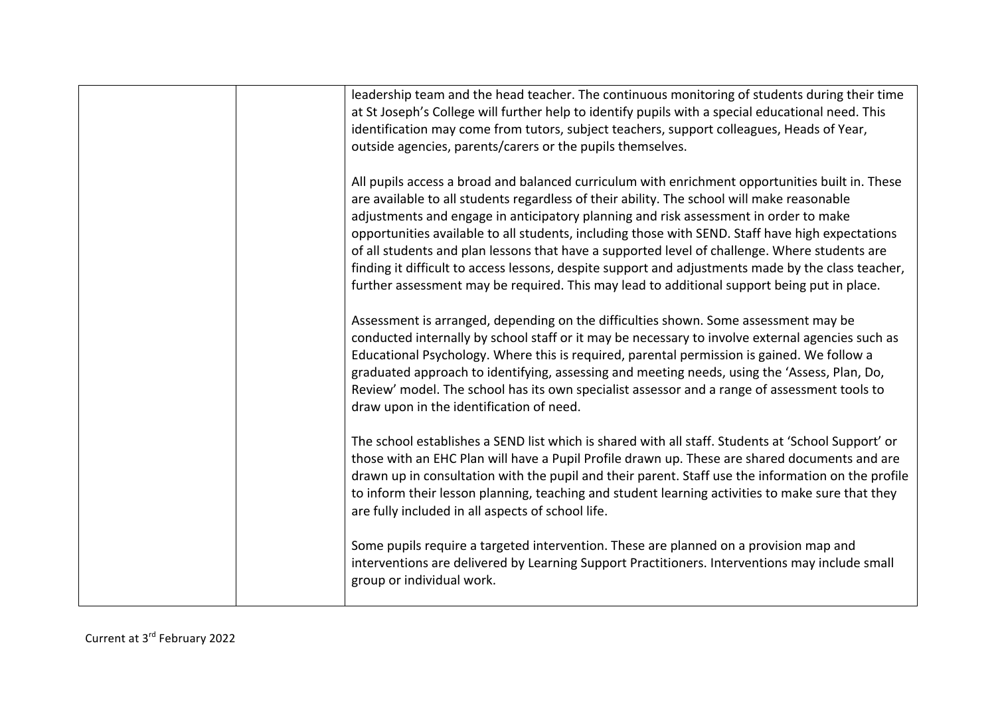|  | leadership team and the head teacher. The continuous monitoring of students during their time<br>at St Joseph's College will further help to identify pupils with a special educational need. This<br>identification may come from tutors, subject teachers, support colleagues, Heads of Year,<br>outside agencies, parents/carers or the pupils themselves.                                                                                                                                                                                                                                                                    |
|--|----------------------------------------------------------------------------------------------------------------------------------------------------------------------------------------------------------------------------------------------------------------------------------------------------------------------------------------------------------------------------------------------------------------------------------------------------------------------------------------------------------------------------------------------------------------------------------------------------------------------------------|
|  | All pupils access a broad and balanced curriculum with enrichment opportunities built in. These<br>are available to all students regardless of their ability. The school will make reasonable<br>adjustments and engage in anticipatory planning and risk assessment in order to make<br>opportunities available to all students, including those with SEND. Staff have high expectations<br>of all students and plan lessons that have a supported level of challenge. Where students are<br>finding it difficult to access lessons, despite support and adjustments made by the class teacher,                                 |
|  | further assessment may be required. This may lead to additional support being put in place.<br>Assessment is arranged, depending on the difficulties shown. Some assessment may be<br>conducted internally by school staff or it may be necessary to involve external agencies such as<br>Educational Psychology. Where this is required, parental permission is gained. We follow a<br>graduated approach to identifying, assessing and meeting needs, using the 'Assess, Plan, Do,<br>Review' model. The school has its own specialist assessor and a range of assessment tools to<br>draw upon in the identification of need. |
|  | The school establishes a SEND list which is shared with all staff. Students at 'School Support' or<br>those with an EHC Plan will have a Pupil Profile drawn up. These are shared documents and are<br>drawn up in consultation with the pupil and their parent. Staff use the information on the profile<br>to inform their lesson planning, teaching and student learning activities to make sure that they<br>are fully included in all aspects of school life.                                                                                                                                                               |
|  | Some pupils require a targeted intervention. These are planned on a provision map and<br>interventions are delivered by Learning Support Practitioners. Interventions may include small<br>group or individual work.                                                                                                                                                                                                                                                                                                                                                                                                             |
|  |                                                                                                                                                                                                                                                                                                                                                                                                                                                                                                                                                                                                                                  |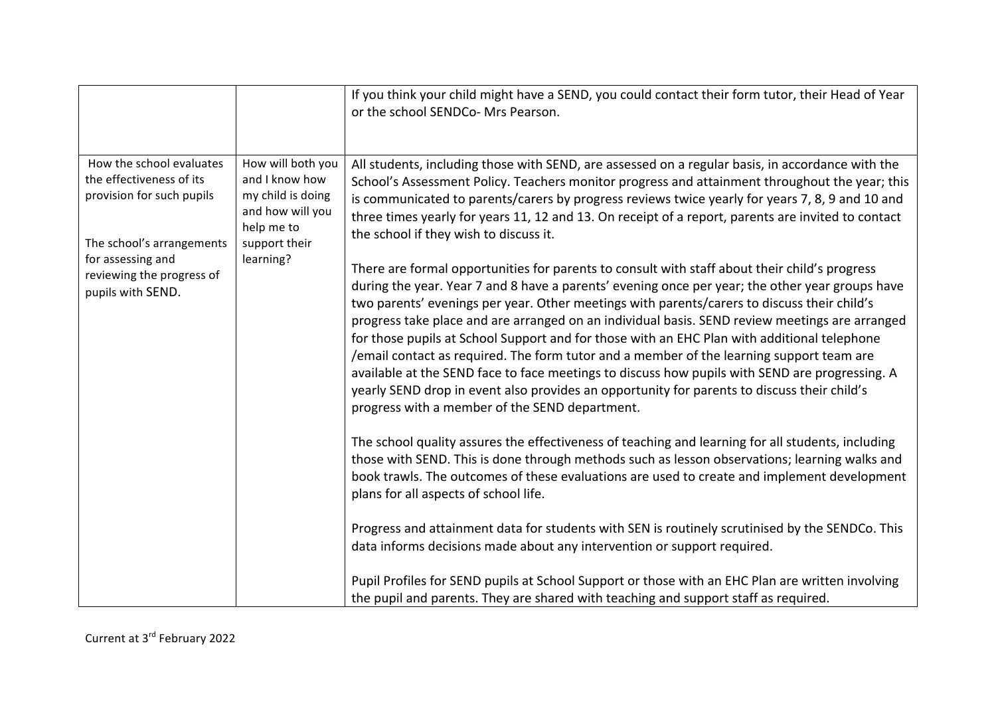|                                                                                                                                                                                       |                                                                                                                          | If you think your child might have a SEND, you could contact their form tutor, their Head of Year<br>or the school SENDCo- Mrs Pearson.                                                                                                                                                                                                                                                                                                                                                                                                                                                                                                                                                                                                        |
|---------------------------------------------------------------------------------------------------------------------------------------------------------------------------------------|--------------------------------------------------------------------------------------------------------------------------|------------------------------------------------------------------------------------------------------------------------------------------------------------------------------------------------------------------------------------------------------------------------------------------------------------------------------------------------------------------------------------------------------------------------------------------------------------------------------------------------------------------------------------------------------------------------------------------------------------------------------------------------------------------------------------------------------------------------------------------------|
| How the school evaluates<br>the effectiveness of its<br>provision for such pupils<br>The school's arrangements<br>for assessing and<br>reviewing the progress of<br>pupils with SEND. | How will both you<br>and I know how<br>my child is doing<br>and how will you<br>help me to<br>support their<br>learning? | All students, including those with SEND, are assessed on a regular basis, in accordance with the<br>School's Assessment Policy. Teachers monitor progress and attainment throughout the year; this<br>is communicated to parents/carers by progress reviews twice yearly for years 7, 8, 9 and 10 and<br>three times yearly for years 11, 12 and 13. On receipt of a report, parents are invited to contact<br>the school if they wish to discuss it.<br>There are formal opportunities for parents to consult with staff about their child's progress                                                                                                                                                                                         |
|                                                                                                                                                                                       |                                                                                                                          | during the year. Year 7 and 8 have a parents' evening once per year; the other year groups have<br>two parents' evenings per year. Other meetings with parents/carers to discuss their child's<br>progress take place and are arranged on an individual basis. SEND review meetings are arranged<br>for those pupils at School Support and for those with an EHC Plan with additional telephone<br>/email contact as required. The form tutor and a member of the learning support team are<br>available at the SEND face to face meetings to discuss how pupils with SEND are progressing. A<br>yearly SEND drop in event also provides an opportunity for parents to discuss their child's<br>progress with a member of the SEND department. |
|                                                                                                                                                                                       |                                                                                                                          | The school quality assures the effectiveness of teaching and learning for all students, including<br>those with SEND. This is done through methods such as lesson observations; learning walks and<br>book trawls. The outcomes of these evaluations are used to create and implement development<br>plans for all aspects of school life.                                                                                                                                                                                                                                                                                                                                                                                                     |
|                                                                                                                                                                                       |                                                                                                                          | Progress and attainment data for students with SEN is routinely scrutinised by the SENDCo. This<br>data informs decisions made about any intervention or support required.                                                                                                                                                                                                                                                                                                                                                                                                                                                                                                                                                                     |
|                                                                                                                                                                                       |                                                                                                                          | Pupil Profiles for SEND pupils at School Support or those with an EHC Plan are written involving<br>the pupil and parents. They are shared with teaching and support staff as required.                                                                                                                                                                                                                                                                                                                                                                                                                                                                                                                                                        |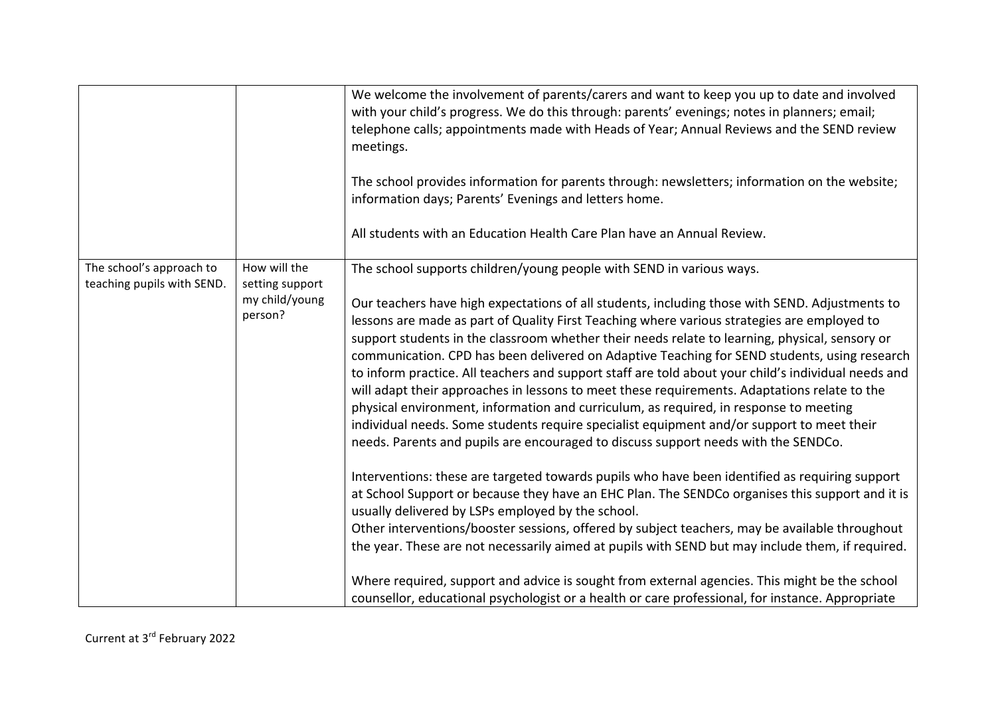|                                                        |                                                              | We welcome the involvement of parents/carers and want to keep you up to date and involved<br>with your child's progress. We do this through: parents' evenings; notes in planners; email;<br>telephone calls; appointments made with Heads of Year; Annual Reviews and the SEND review<br>meetings.<br>The school provides information for parents through: newsletters; information on the website;<br>information days; Parents' Evenings and letters home.<br>All students with an Education Health Care Plan have an Annual Review.                                                                                                                                                                                                                                                                                                                                                                                                                                                                                                                                                                                                                                                                                                                                                                                                                                                                                                                                                                                                                                                                                         |
|--------------------------------------------------------|--------------------------------------------------------------|---------------------------------------------------------------------------------------------------------------------------------------------------------------------------------------------------------------------------------------------------------------------------------------------------------------------------------------------------------------------------------------------------------------------------------------------------------------------------------------------------------------------------------------------------------------------------------------------------------------------------------------------------------------------------------------------------------------------------------------------------------------------------------------------------------------------------------------------------------------------------------------------------------------------------------------------------------------------------------------------------------------------------------------------------------------------------------------------------------------------------------------------------------------------------------------------------------------------------------------------------------------------------------------------------------------------------------------------------------------------------------------------------------------------------------------------------------------------------------------------------------------------------------------------------------------------------------------------------------------------------------|
| The school's approach to<br>teaching pupils with SEND. | How will the<br>setting support<br>my child/young<br>person? | The school supports children/young people with SEND in various ways.<br>Our teachers have high expectations of all students, including those with SEND. Adjustments to<br>lessons are made as part of Quality First Teaching where various strategies are employed to<br>support students in the classroom whether their needs relate to learning, physical, sensory or<br>communication. CPD has been delivered on Adaptive Teaching for SEND students, using research<br>to inform practice. All teachers and support staff are told about your child's individual needs and<br>will adapt their approaches in lessons to meet these requirements. Adaptations relate to the<br>physical environment, information and curriculum, as required, in response to meeting<br>individual needs. Some students require specialist equipment and/or support to meet their<br>needs. Parents and pupils are encouraged to discuss support needs with the SENDCo.<br>Interventions: these are targeted towards pupils who have been identified as requiring support<br>at School Support or because they have an EHC Plan. The SENDCo organises this support and it is<br>usually delivered by LSPs employed by the school.<br>Other interventions/booster sessions, offered by subject teachers, may be available throughout<br>the year. These are not necessarily aimed at pupils with SEND but may include them, if required.<br>Where required, support and advice is sought from external agencies. This might be the school<br>counsellor, educational psychologist or a health or care professional, for instance. Appropriate |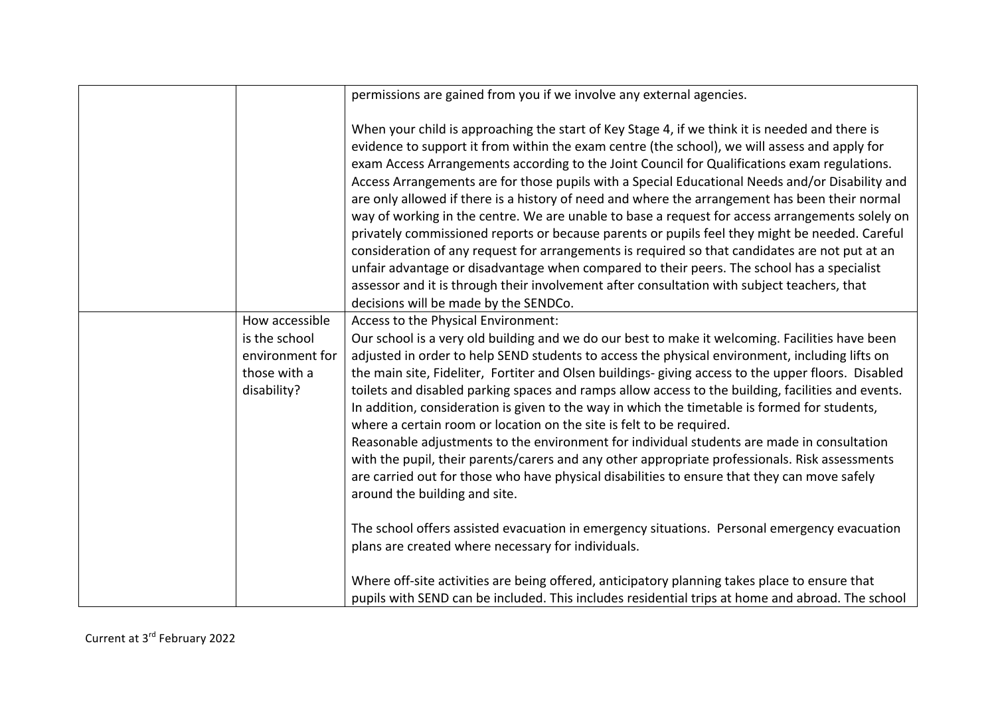|                                                                                   | permissions are gained from you if we involve any external agencies.                                                                                                                                                                                                                                                                                                                                                                                                                                                                                                                                                                                                                                                                                                                                                                                                                                                                                                                                                                              |
|-----------------------------------------------------------------------------------|---------------------------------------------------------------------------------------------------------------------------------------------------------------------------------------------------------------------------------------------------------------------------------------------------------------------------------------------------------------------------------------------------------------------------------------------------------------------------------------------------------------------------------------------------------------------------------------------------------------------------------------------------------------------------------------------------------------------------------------------------------------------------------------------------------------------------------------------------------------------------------------------------------------------------------------------------------------------------------------------------------------------------------------------------|
|                                                                                   | When your child is approaching the start of Key Stage 4, if we think it is needed and there is<br>evidence to support it from within the exam centre (the school), we will assess and apply for<br>exam Access Arrangements according to the Joint Council for Qualifications exam regulations.<br>Access Arrangements are for those pupils with a Special Educational Needs and/or Disability and<br>are only allowed if there is a history of need and where the arrangement has been their normal<br>way of working in the centre. We are unable to base a request for access arrangements solely on<br>privately commissioned reports or because parents or pupils feel they might be needed. Careful<br>consideration of any request for arrangements is required so that candidates are not put at an<br>unfair advantage or disadvantage when compared to their peers. The school has a specialist<br>assessor and it is through their involvement after consultation with subject teachers, that<br>decisions will be made by the SENDCo. |
| How accessible<br>is the school<br>environment for<br>those with a<br>disability? | Access to the Physical Environment:<br>Our school is a very old building and we do our best to make it welcoming. Facilities have been<br>adjusted in order to help SEND students to access the physical environment, including lifts on<br>the main site, Fideliter, Fortiter and Olsen buildings-giving access to the upper floors. Disabled<br>toilets and disabled parking spaces and ramps allow access to the building, facilities and events.<br>In addition, consideration is given to the way in which the timetable is formed for students,<br>where a certain room or location on the site is felt to be required.<br>Reasonable adjustments to the environment for individual students are made in consultation<br>with the pupil, their parents/carers and any other appropriate professionals. Risk assessments<br>are carried out for those who have physical disabilities to ensure that they can move safely<br>around the building and site.                                                                                    |
|                                                                                   | The school offers assisted evacuation in emergency situations. Personal emergency evacuation<br>plans are created where necessary for individuals.<br>Where off-site activities are being offered, anticipatory planning takes place to ensure that<br>pupils with SEND can be included. This includes residential trips at home and abroad. The school                                                                                                                                                                                                                                                                                                                                                                                                                                                                                                                                                                                                                                                                                           |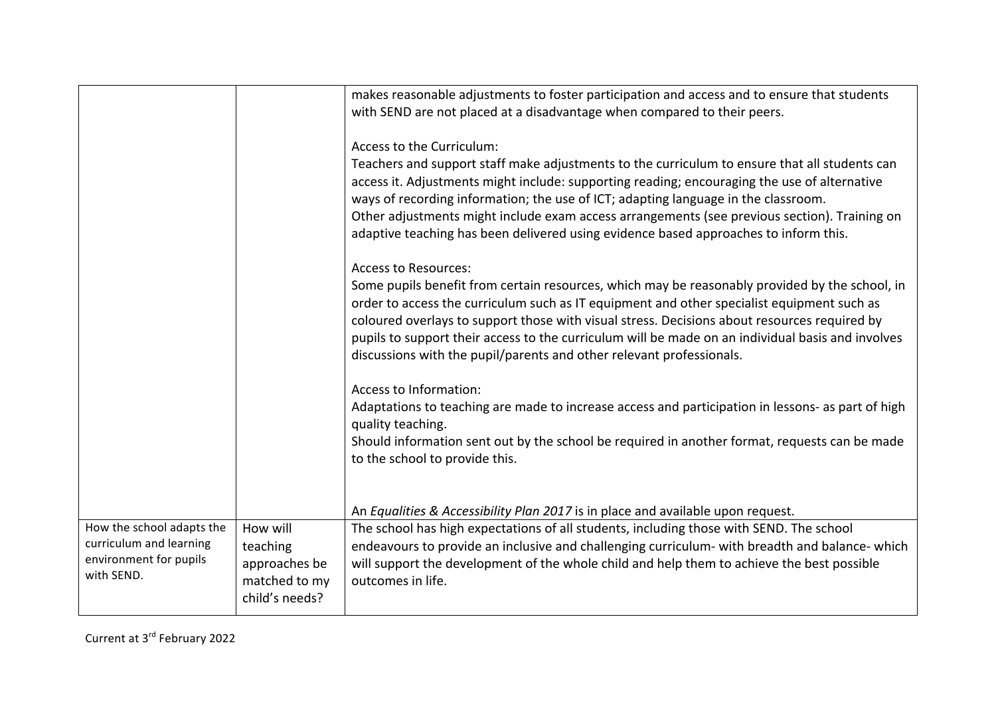|                                                                                              |                                                                          | makes reasonable adjustments to foster participation and access and to ensure that students<br>with SEND are not placed at a disadvantage when compared to their peers.                                                                                                                                                                                                                                                                                                                                  |
|----------------------------------------------------------------------------------------------|--------------------------------------------------------------------------|----------------------------------------------------------------------------------------------------------------------------------------------------------------------------------------------------------------------------------------------------------------------------------------------------------------------------------------------------------------------------------------------------------------------------------------------------------------------------------------------------------|
|                                                                                              |                                                                          | Access to the Curriculum:<br>Teachers and support staff make adjustments to the curriculum to ensure that all students can<br>access it. Adjustments might include: supporting reading; encouraging the use of alternative<br>ways of recording information; the use of ICT; adapting language in the classroom.<br>Other adjustments might include exam access arrangements (see previous section). Training on<br>adaptive teaching has been delivered using evidence based approaches to inform this. |
|                                                                                              |                                                                          | <b>Access to Resources:</b><br>Some pupils benefit from certain resources, which may be reasonably provided by the school, in<br>order to access the curriculum such as IT equipment and other specialist equipment such as<br>coloured overlays to support those with visual stress. Decisions about resources required by<br>pupils to support their access to the curriculum will be made on an individual basis and involves<br>discussions with the pupil/parents and other relevant professionals. |
|                                                                                              |                                                                          | Access to Information:<br>Adaptations to teaching are made to increase access and participation in lessons- as part of high<br>quality teaching.<br>Should information sent out by the school be required in another format, requests can be made<br>to the school to provide this.                                                                                                                                                                                                                      |
|                                                                                              |                                                                          | An Equalities & Accessibility Plan 2017 is in place and available upon request.                                                                                                                                                                                                                                                                                                                                                                                                                          |
| How the school adapts the<br>curriculum and learning<br>environment for pupils<br>with SEND. | How will<br>teaching<br>approaches be<br>matched to my<br>child's needs? | The school has high expectations of all students, including those with SEND. The school<br>endeavours to provide an inclusive and challenging curriculum- with breadth and balance- which<br>will support the development of the whole child and help them to achieve the best possible<br>outcomes in life.                                                                                                                                                                                             |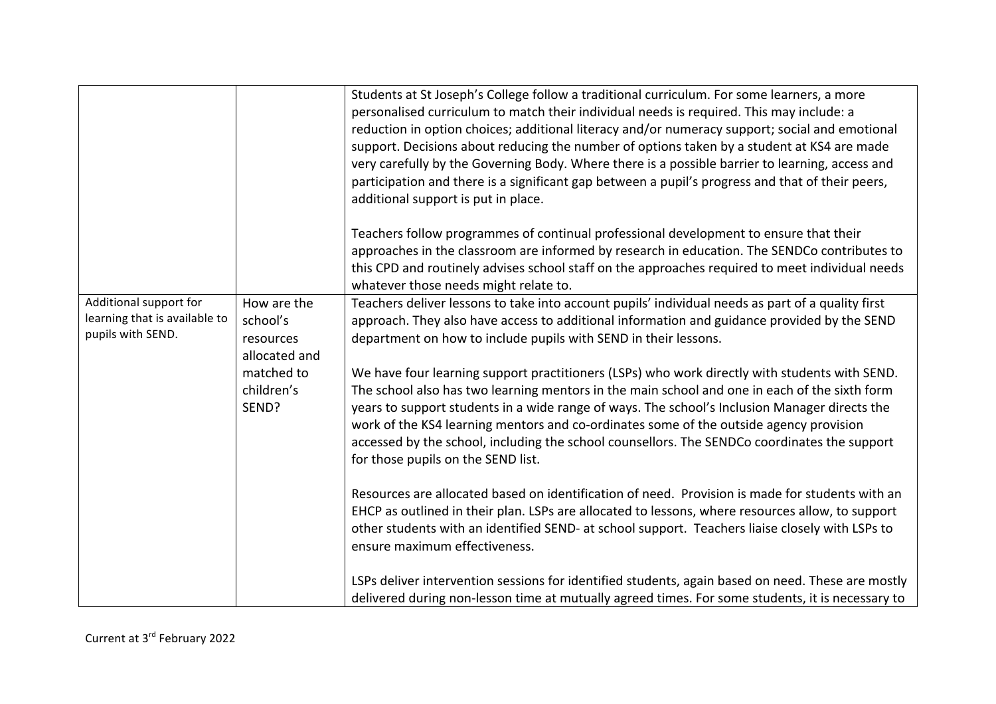| additional support is put in place.<br>Teachers follow programmes of continual professional development to ensure that their<br>approaches in the classroom are informed by research in education. The SENDCo contributes to<br>this CPD and routinely advises school staff on the approaches required to meet individual needs<br>whatever those needs might relate to.                                                                                                                                                                                                                                                                                                                                                                                                                                                                                                                                                                                                                                                                                                                                                                                                                                                                                                                                                                    |
|---------------------------------------------------------------------------------------------------------------------------------------------------------------------------------------------------------------------------------------------------------------------------------------------------------------------------------------------------------------------------------------------------------------------------------------------------------------------------------------------------------------------------------------------------------------------------------------------------------------------------------------------------------------------------------------------------------------------------------------------------------------------------------------------------------------------------------------------------------------------------------------------------------------------------------------------------------------------------------------------------------------------------------------------------------------------------------------------------------------------------------------------------------------------------------------------------------------------------------------------------------------------------------------------------------------------------------------------|
| How are the<br>Teachers deliver lessons to take into account pupils' individual needs as part of a quality first<br>school's<br>approach. They also have access to additional information and guidance provided by the SEND<br>department on how to include pupils with SEND in their lessons.<br>resources<br>allocated and<br>matched to<br>We have four learning support practitioners (LSPs) who work directly with students with SEND.<br>children's<br>The school also has two learning mentors in the main school and one in each of the sixth form<br>years to support students in a wide range of ways. The school's Inclusion Manager directs the<br>work of the KS4 learning mentors and co-ordinates some of the outside agency provision<br>accessed by the school, including the school counsellors. The SENDCo coordinates the support<br>for those pupils on the SEND list.<br>Resources are allocated based on identification of need. Provision is made for students with an<br>EHCP as outlined in their plan. LSPs are allocated to lessons, where resources allow, to support<br>other students with an identified SEND- at school support. Teachers liaise closely with LSPs to<br>ensure maximum effectiveness.<br>LSPs deliver intervention sessions for identified students, again based on need. These are mostly |
|                                                                                                                                                                                                                                                                                                                                                                                                                                                                                                                                                                                                                                                                                                                                                                                                                                                                                                                                                                                                                                                                                                                                                                                                                                                                                                                                             |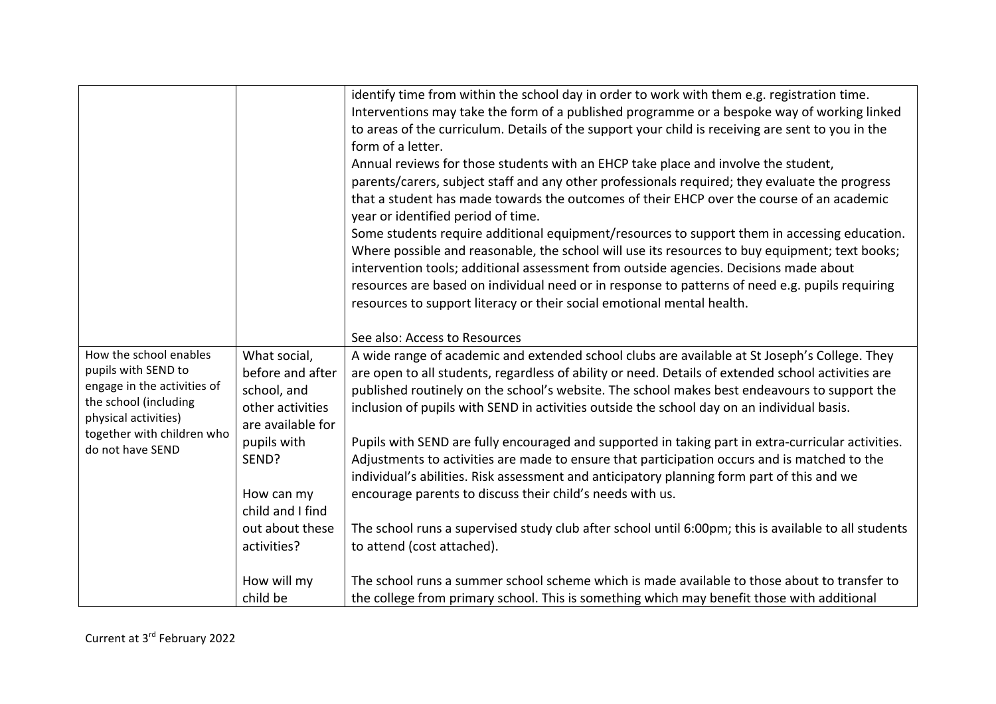|                                                                                                                                                             |                                                                                                         | identify time from within the school day in order to work with them e.g. registration time.<br>Interventions may take the form of a published programme or a bespoke way of working linked<br>to areas of the curriculum. Details of the support your child is receiving are sent to you in the<br>form of a letter.<br>Annual reviews for those students with an EHCP take place and involve the student,<br>parents/carers, subject staff and any other professionals required; they evaluate the progress<br>that a student has made towards the outcomes of their EHCP over the course of an academic<br>year or identified period of time.<br>Some students require additional equipment/resources to support them in accessing education.<br>Where possible and reasonable, the school will use its resources to buy equipment; text books;<br>intervention tools; additional assessment from outside agencies. Decisions made about<br>resources are based on individual need or in response to patterns of need e.g. pupils requiring<br>resources to support literacy or their social emotional mental health. |
|-------------------------------------------------------------------------------------------------------------------------------------------------------------|---------------------------------------------------------------------------------------------------------|-------------------------------------------------------------------------------------------------------------------------------------------------------------------------------------------------------------------------------------------------------------------------------------------------------------------------------------------------------------------------------------------------------------------------------------------------------------------------------------------------------------------------------------------------------------------------------------------------------------------------------------------------------------------------------------------------------------------------------------------------------------------------------------------------------------------------------------------------------------------------------------------------------------------------------------------------------------------------------------------------------------------------------------------------------------------------------------------------------------------------|
|                                                                                                                                                             |                                                                                                         | See also: Access to Resources                                                                                                                                                                                                                                                                                                                                                                                                                                                                                                                                                                                                                                                                                                                                                                                                                                                                                                                                                                                                                                                                                           |
| How the school enables<br>pupils with SEND to<br>engage in the activities of<br>the school (including<br>physical activities)<br>together with children who | What social,<br>before and after<br>school, and<br>other activities<br>are available for<br>pupils with | A wide range of academic and extended school clubs are available at St Joseph's College. They<br>are open to all students, regardless of ability or need. Details of extended school activities are<br>published routinely on the school's website. The school makes best endeavours to support the<br>inclusion of pupils with SEND in activities outside the school day on an individual basis.<br>Pupils with SEND are fully encouraged and supported in taking part in extra-curricular activities.                                                                                                                                                                                                                                                                                                                                                                                                                                                                                                                                                                                                                 |
| do not have SEND                                                                                                                                            | SEND?                                                                                                   | Adjustments to activities are made to ensure that participation occurs and is matched to the<br>individual's abilities. Risk assessment and anticipatory planning form part of this and we                                                                                                                                                                                                                                                                                                                                                                                                                                                                                                                                                                                                                                                                                                                                                                                                                                                                                                                              |
|                                                                                                                                                             | How can my<br>child and I find                                                                          | encourage parents to discuss their child's needs with us.                                                                                                                                                                                                                                                                                                                                                                                                                                                                                                                                                                                                                                                                                                                                                                                                                                                                                                                                                                                                                                                               |
|                                                                                                                                                             | out about these<br>activities?                                                                          | The school runs a supervised study club after school until 6:00pm; this is available to all students<br>to attend (cost attached).                                                                                                                                                                                                                                                                                                                                                                                                                                                                                                                                                                                                                                                                                                                                                                                                                                                                                                                                                                                      |
|                                                                                                                                                             | How will my<br>child be                                                                                 | The school runs a summer school scheme which is made available to those about to transfer to<br>the college from primary school. This is something which may benefit those with additional                                                                                                                                                                                                                                                                                                                                                                                                                                                                                                                                                                                                                                                                                                                                                                                                                                                                                                                              |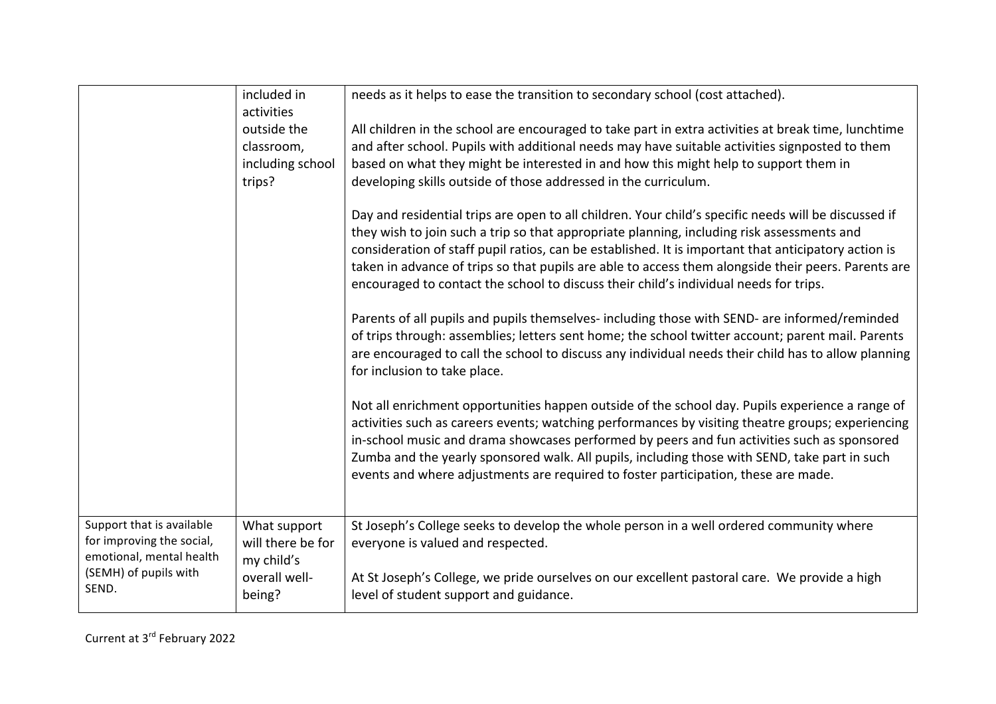|                                                                                                                      | included in<br>activities                                                  | needs as it helps to ease the transition to secondary school (cost attached).                                                                                                                                                                                                                                                                                                                                                                                                                              |
|----------------------------------------------------------------------------------------------------------------------|----------------------------------------------------------------------------|------------------------------------------------------------------------------------------------------------------------------------------------------------------------------------------------------------------------------------------------------------------------------------------------------------------------------------------------------------------------------------------------------------------------------------------------------------------------------------------------------------|
|                                                                                                                      | outside the<br>classroom,<br>including school<br>trips?                    | All children in the school are encouraged to take part in extra activities at break time, lunchtime<br>and after school. Pupils with additional needs may have suitable activities signposted to them<br>based on what they might be interested in and how this might help to support them in<br>developing skills outside of those addressed in the curriculum.                                                                                                                                           |
|                                                                                                                      |                                                                            | Day and residential trips are open to all children. Your child's specific needs will be discussed if<br>they wish to join such a trip so that appropriate planning, including risk assessments and<br>consideration of staff pupil ratios, can be established. It is important that anticipatory action is<br>taken in advance of trips so that pupils are able to access them alongside their peers. Parents are<br>encouraged to contact the school to discuss their child's individual needs for trips. |
|                                                                                                                      |                                                                            | Parents of all pupils and pupils themselves- including those with SEND- are informed/reminded<br>of trips through: assemblies; letters sent home; the school twitter account; parent mail. Parents<br>are encouraged to call the school to discuss any individual needs their child has to allow planning<br>for inclusion to take place.                                                                                                                                                                  |
|                                                                                                                      |                                                                            | Not all enrichment opportunities happen outside of the school day. Pupils experience a range of<br>activities such as careers events; watching performances by visiting theatre groups; experiencing<br>in-school music and drama showcases performed by peers and fun activities such as sponsored<br>Zumba and the yearly sponsored walk. All pupils, including those with SEND, take part in such<br>events and where adjustments are required to foster participation, these are made.                 |
| Support that is available<br>for improving the social,<br>emotional, mental health<br>(SEMH) of pupils with<br>SEND. | What support<br>will there be for<br>my child's<br>overall well-<br>being? | St Joseph's College seeks to develop the whole person in a well ordered community where<br>everyone is valued and respected.<br>At St Joseph's College, we pride ourselves on our excellent pastoral care. We provide a high<br>level of student support and guidance.                                                                                                                                                                                                                                     |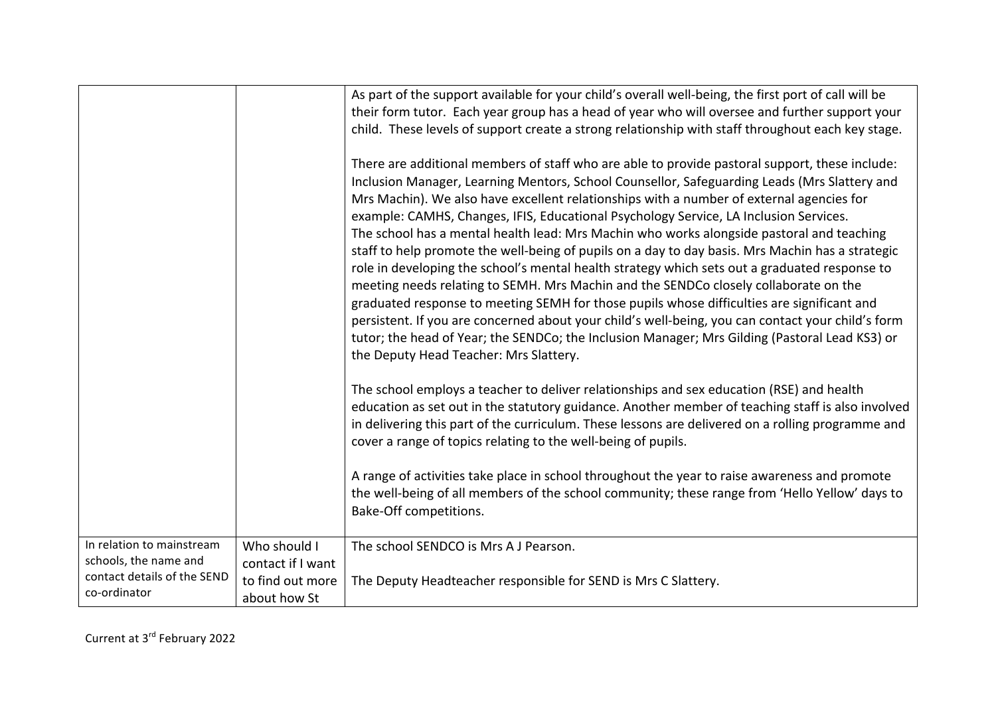|                                                                                                   |                                                                       | As part of the support available for your child's overall well-being, the first port of call will be<br>their form tutor. Each year group has a head of year who will oversee and further support your<br>child. These levels of support create a strong relationship with staff throughout each key stage.<br>There are additional members of staff who are able to provide pastoral support, these include:<br>Inclusion Manager, Learning Mentors, School Counsellor, Safeguarding Leads (Mrs Slattery and<br>Mrs Machin). We also have excellent relationships with a number of external agencies for<br>example: CAMHS, Changes, IFIS, Educational Psychology Service, LA Inclusion Services.<br>The school has a mental health lead: Mrs Machin who works alongside pastoral and teaching<br>staff to help promote the well-being of pupils on a day to day basis. Mrs Machin has a strategic<br>role in developing the school's mental health strategy which sets out a graduated response to<br>meeting needs relating to SEMH. Mrs Machin and the SENDCo closely collaborate on the<br>graduated response to meeting SEMH for those pupils whose difficulties are significant and<br>persistent. If you are concerned about your child's well-being, you can contact your child's form<br>tutor; the head of Year; the SENDCo; the Inclusion Manager; Mrs Gilding (Pastoral Lead KS3) or<br>the Deputy Head Teacher: Mrs Slattery.<br>The school employs a teacher to deliver relationships and sex education (RSE) and health<br>education as set out in the statutory guidance. Another member of teaching staff is also involved<br>in delivering this part of the curriculum. These lessons are delivered on a rolling programme and<br>cover a range of topics relating to the well-being of pupils.<br>A range of activities take place in school throughout the year to raise awareness and promote |
|---------------------------------------------------------------------------------------------------|-----------------------------------------------------------------------|---------------------------------------------------------------------------------------------------------------------------------------------------------------------------------------------------------------------------------------------------------------------------------------------------------------------------------------------------------------------------------------------------------------------------------------------------------------------------------------------------------------------------------------------------------------------------------------------------------------------------------------------------------------------------------------------------------------------------------------------------------------------------------------------------------------------------------------------------------------------------------------------------------------------------------------------------------------------------------------------------------------------------------------------------------------------------------------------------------------------------------------------------------------------------------------------------------------------------------------------------------------------------------------------------------------------------------------------------------------------------------------------------------------------------------------------------------------------------------------------------------------------------------------------------------------------------------------------------------------------------------------------------------------------------------------------------------------------------------------------------------------------------------------------------------------------------------------------------------------------------------------------------------------------|
|                                                                                                   |                                                                       | the well-being of all members of the school community; these range from 'Hello Yellow' days to<br>Bake-Off competitions.                                                                                                                                                                                                                                                                                                                                                                                                                                                                                                                                                                                                                                                                                                                                                                                                                                                                                                                                                                                                                                                                                                                                                                                                                                                                                                                                                                                                                                                                                                                                                                                                                                                                                                                                                                                            |
| In relation to mainstream<br>schools, the name and<br>contact details of the SEND<br>co-ordinator | Who should I<br>contact if I want<br>to find out more<br>about how St | The school SENDCO is Mrs A J Pearson.<br>The Deputy Headteacher responsible for SEND is Mrs C Slattery.                                                                                                                                                                                                                                                                                                                                                                                                                                                                                                                                                                                                                                                                                                                                                                                                                                                                                                                                                                                                                                                                                                                                                                                                                                                                                                                                                                                                                                                                                                                                                                                                                                                                                                                                                                                                             |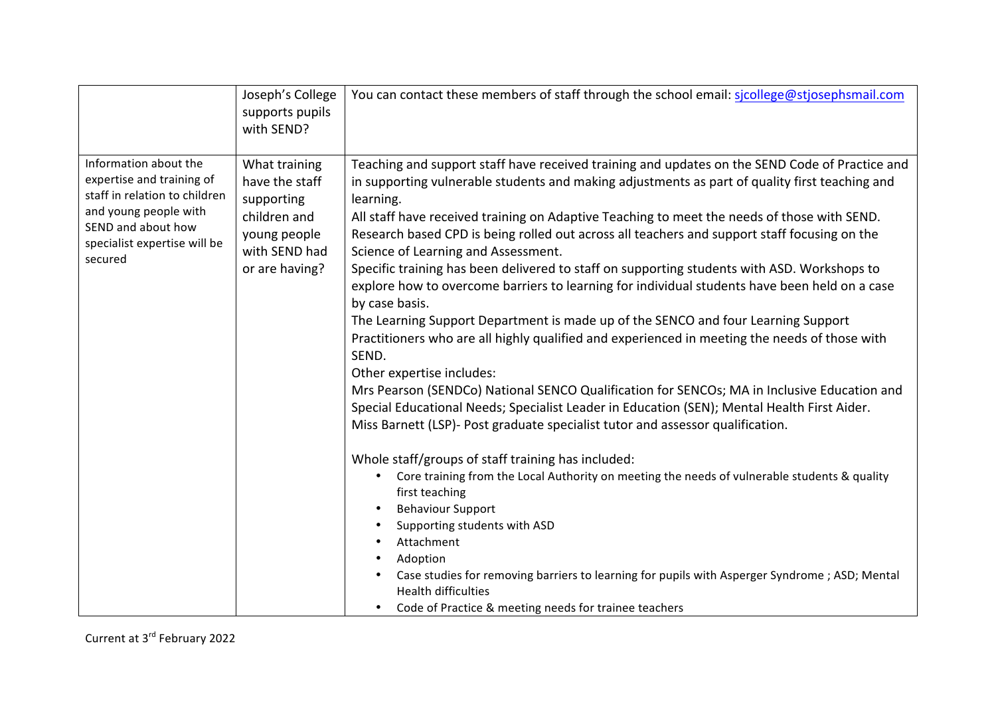|                                                                                                                                                                               | Joseph's College<br>supports pupils<br>with SEND?                                                                | You can contact these members of staff through the school email: sicollege@stjosephsmail.com                                                                                                                                                                                                                                                                                                                                                                                                                                                                                                                                                                                                                                                                                                                                                                                                                                                                                                                                                                                                                                                                                                                                                                                                                                                                                                                                                                                                                                                                                                                                                          |
|-------------------------------------------------------------------------------------------------------------------------------------------------------------------------------|------------------------------------------------------------------------------------------------------------------|-------------------------------------------------------------------------------------------------------------------------------------------------------------------------------------------------------------------------------------------------------------------------------------------------------------------------------------------------------------------------------------------------------------------------------------------------------------------------------------------------------------------------------------------------------------------------------------------------------------------------------------------------------------------------------------------------------------------------------------------------------------------------------------------------------------------------------------------------------------------------------------------------------------------------------------------------------------------------------------------------------------------------------------------------------------------------------------------------------------------------------------------------------------------------------------------------------------------------------------------------------------------------------------------------------------------------------------------------------------------------------------------------------------------------------------------------------------------------------------------------------------------------------------------------------------------------------------------------------------------------------------------------------|
| Information about the<br>expertise and training of<br>staff in relation to children<br>and young people with<br>SEND and about how<br>specialist expertise will be<br>secured | What training<br>have the staff<br>supporting<br>children and<br>young people<br>with SEND had<br>or are having? | Teaching and support staff have received training and updates on the SEND Code of Practice and<br>in supporting vulnerable students and making adjustments as part of quality first teaching and<br>learning.<br>All staff have received training on Adaptive Teaching to meet the needs of those with SEND.<br>Research based CPD is being rolled out across all teachers and support staff focusing on the<br>Science of Learning and Assessment.<br>Specific training has been delivered to staff on supporting students with ASD. Workshops to<br>explore how to overcome barriers to learning for individual students have been held on a case<br>by case basis.<br>The Learning Support Department is made up of the SENCO and four Learning Support<br>Practitioners who are all highly qualified and experienced in meeting the needs of those with<br>SEND.<br>Other expertise includes:<br>Mrs Pearson (SENDCo) National SENCO Qualification for SENCOs; MA in Inclusive Education and<br>Special Educational Needs; Specialist Leader in Education (SEN); Mental Health First Aider.<br>Miss Barnett (LSP)- Post graduate specialist tutor and assessor qualification.<br>Whole staff/groups of staff training has included:<br>Core training from the Local Authority on meeting the needs of vulnerable students & quality<br>first teaching<br><b>Behaviour Support</b><br>Supporting students with ASD<br>Attachment<br>Adoption<br>Case studies for removing barriers to learning for pupils with Asperger Syndrome ; ASD; Mental<br><b>Health difficulties</b><br>Code of Practice & meeting needs for trainee teachers<br>$\bullet$ |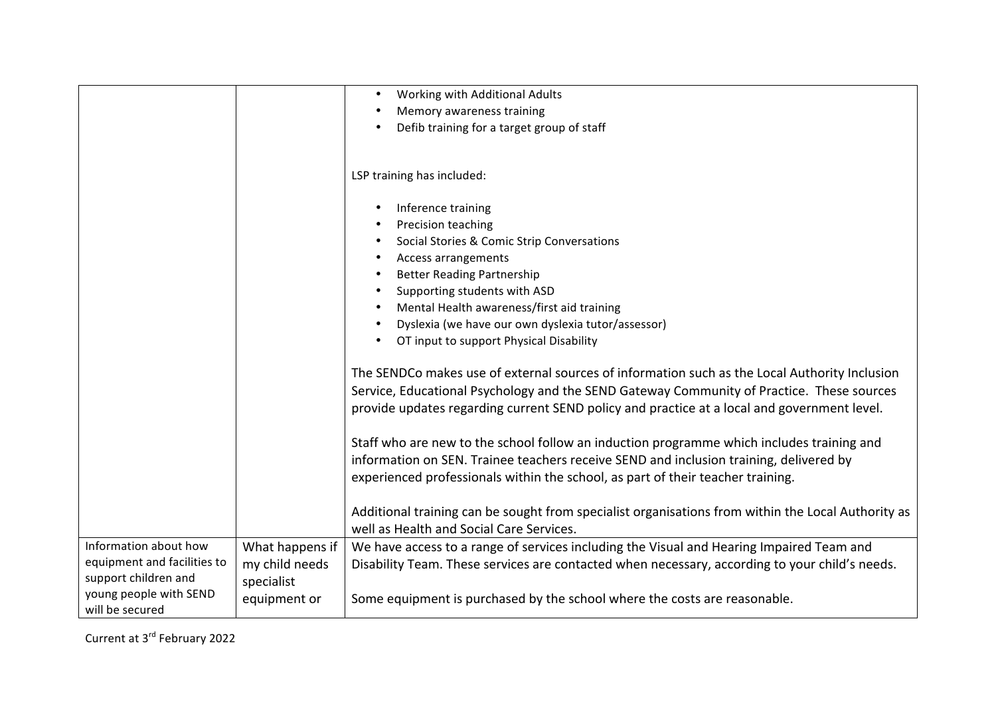|                                                                              |                                                 | Working with Additional Adults<br>$\bullet$<br>Memory awareness training<br>Defib training for a target group of staff                                                                                                                                                                                                                                                                                                            |
|------------------------------------------------------------------------------|-------------------------------------------------|-----------------------------------------------------------------------------------------------------------------------------------------------------------------------------------------------------------------------------------------------------------------------------------------------------------------------------------------------------------------------------------------------------------------------------------|
|                                                                              |                                                 | LSP training has included:                                                                                                                                                                                                                                                                                                                                                                                                        |
|                                                                              |                                                 | Inference training<br>٠<br>Precision teaching<br>$\bullet$<br>Social Stories & Comic Strip Conversations<br>$\bullet$<br>Access arrangements<br>$\bullet$<br><b>Better Reading Partnership</b><br>$\bullet$<br>Supporting students with ASD<br>$\bullet$<br>Mental Health awareness/first aid training<br>$\bullet$<br>Dyslexia (we have our own dyslexia tutor/assessor)<br>$\bullet$<br>OT input to support Physical Disability |
|                                                                              |                                                 | The SENDCo makes use of external sources of information such as the Local Authority Inclusion<br>Service, Educational Psychology and the SEND Gateway Community of Practice. These sources<br>provide updates regarding current SEND policy and practice at a local and government level.                                                                                                                                         |
|                                                                              |                                                 | Staff who are new to the school follow an induction programme which includes training and<br>information on SEN. Trainee teachers receive SEND and inclusion training, delivered by<br>experienced professionals within the school, as part of their teacher training.                                                                                                                                                            |
|                                                                              |                                                 | Additional training can be sought from specialist organisations from within the Local Authority as<br>well as Health and Social Care Services.                                                                                                                                                                                                                                                                                    |
| Information about how<br>equipment and facilities to<br>support children and | What happens if<br>my child needs<br>specialist | We have access to a range of services including the Visual and Hearing Impaired Team and<br>Disability Team. These services are contacted when necessary, according to your child's needs.                                                                                                                                                                                                                                        |
| young people with SEND<br>will be secured                                    | equipment or                                    | Some equipment is purchased by the school where the costs are reasonable.                                                                                                                                                                                                                                                                                                                                                         |

Current at 3<sup>rd</sup> February 2022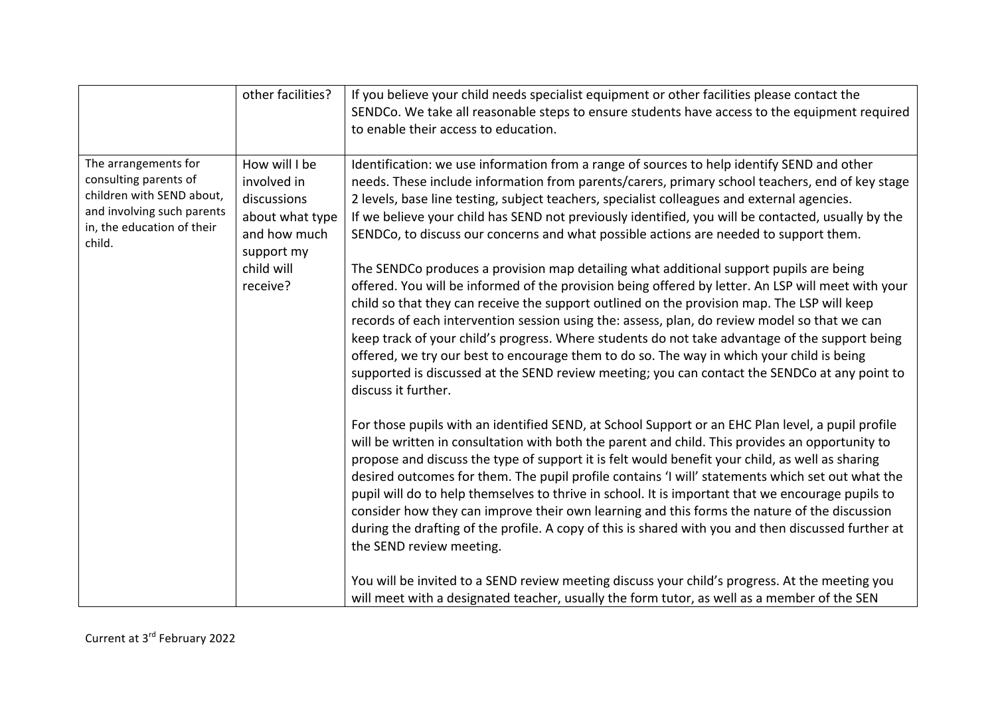|                                                                                                                                                  | other facilities?                                                                                                      | If you believe your child needs specialist equipment or other facilities please contact the<br>SENDCo. We take all reasonable steps to ensure students have access to the equipment required<br>to enable their access to education.                                                                                                                                                                                                                                                                                                                                                                                                                                                                                                                                                                                                                                                                                                                                                                                                                                                                                                                                                                                                                                                                                                                                                                                                                                                                                                                                                                                                                                                                                                                                                                                                                                                                                                         |
|--------------------------------------------------------------------------------------------------------------------------------------------------|------------------------------------------------------------------------------------------------------------------------|----------------------------------------------------------------------------------------------------------------------------------------------------------------------------------------------------------------------------------------------------------------------------------------------------------------------------------------------------------------------------------------------------------------------------------------------------------------------------------------------------------------------------------------------------------------------------------------------------------------------------------------------------------------------------------------------------------------------------------------------------------------------------------------------------------------------------------------------------------------------------------------------------------------------------------------------------------------------------------------------------------------------------------------------------------------------------------------------------------------------------------------------------------------------------------------------------------------------------------------------------------------------------------------------------------------------------------------------------------------------------------------------------------------------------------------------------------------------------------------------------------------------------------------------------------------------------------------------------------------------------------------------------------------------------------------------------------------------------------------------------------------------------------------------------------------------------------------------------------------------------------------------------------------------------------------------|
| The arrangements for<br>consulting parents of<br>children with SEND about,<br>and involving such parents<br>in, the education of their<br>child. | How will I be<br>involved in<br>discussions<br>about what type<br>and how much<br>support my<br>child will<br>receive? | Identification: we use information from a range of sources to help identify SEND and other<br>needs. These include information from parents/carers, primary school teachers, end of key stage<br>2 levels, base line testing, subject teachers, specialist colleagues and external agencies.<br>If we believe your child has SEND not previously identified, you will be contacted, usually by the<br>SENDCo, to discuss our concerns and what possible actions are needed to support them.<br>The SENDCo produces a provision map detailing what additional support pupils are being<br>offered. You will be informed of the provision being offered by letter. An LSP will meet with your<br>child so that they can receive the support outlined on the provision map. The LSP will keep<br>records of each intervention session using the: assess, plan, do review model so that we can<br>keep track of your child's progress. Where students do not take advantage of the support being<br>offered, we try our best to encourage them to do so. The way in which your child is being<br>supported is discussed at the SEND review meeting; you can contact the SENDCo at any point to<br>discuss it further.<br>For those pupils with an identified SEND, at School Support or an EHC Plan level, a pupil profile<br>will be written in consultation with both the parent and child. This provides an opportunity to<br>propose and discuss the type of support it is felt would benefit your child, as well as sharing<br>desired outcomes for them. The pupil profile contains 'I will' statements which set out what the<br>pupil will do to help themselves to thrive in school. It is important that we encourage pupils to<br>consider how they can improve their own learning and this forms the nature of the discussion<br>during the drafting of the profile. A copy of this is shared with you and then discussed further at |
|                                                                                                                                                  |                                                                                                                        | the SEND review meeting.<br>You will be invited to a SEND review meeting discuss your child's progress. At the meeting you<br>will meet with a designated teacher, usually the form tutor, as well as a member of the SEN                                                                                                                                                                                                                                                                                                                                                                                                                                                                                                                                                                                                                                                                                                                                                                                                                                                                                                                                                                                                                                                                                                                                                                                                                                                                                                                                                                                                                                                                                                                                                                                                                                                                                                                    |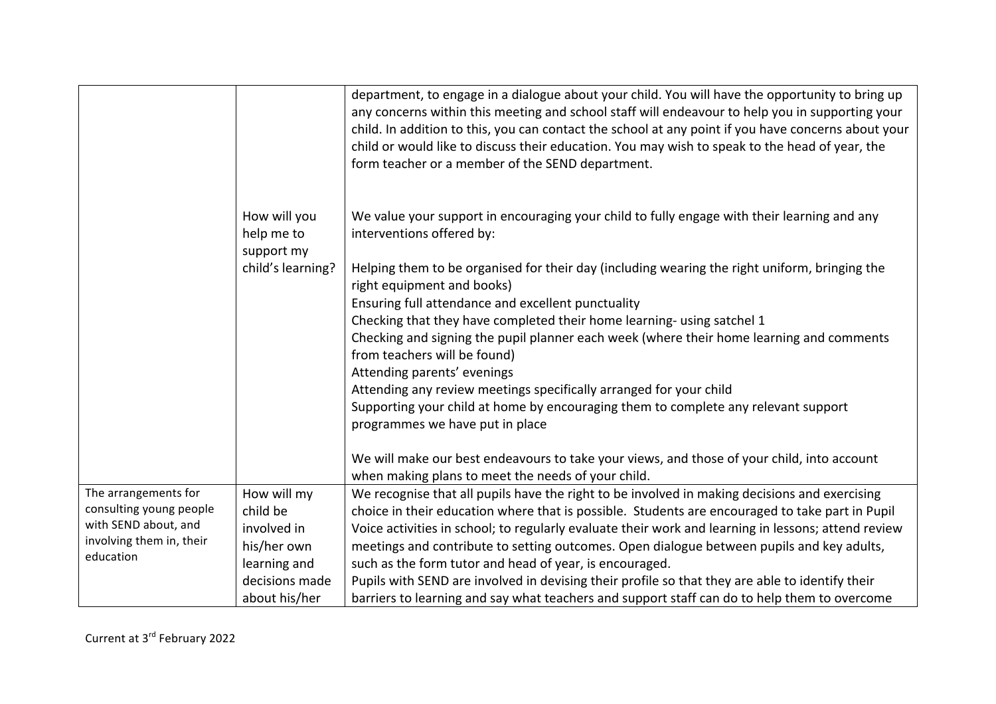|                          |                                          | department, to engage in a dialogue about your child. You will have the opportunity to bring up<br>any concerns within this meeting and school staff will endeavour to help you in supporting your<br>child. In addition to this, you can contact the school at any point if you have concerns about your<br>child or would like to discuss their education. You may wish to speak to the head of year, the<br>form teacher or a member of the SEND department. |
|--------------------------|------------------------------------------|-----------------------------------------------------------------------------------------------------------------------------------------------------------------------------------------------------------------------------------------------------------------------------------------------------------------------------------------------------------------------------------------------------------------------------------------------------------------|
|                          | How will you<br>help me to<br>support my | We value your support in encouraging your child to fully engage with their learning and any<br>interventions offered by:                                                                                                                                                                                                                                                                                                                                        |
|                          | child's learning?                        | Helping them to be organised for their day (including wearing the right uniform, bringing the<br>right equipment and books)                                                                                                                                                                                                                                                                                                                                     |
|                          |                                          | Ensuring full attendance and excellent punctuality                                                                                                                                                                                                                                                                                                                                                                                                              |
|                          |                                          | Checking that they have completed their home learning- using satchel 1                                                                                                                                                                                                                                                                                                                                                                                          |
|                          |                                          | Checking and signing the pupil planner each week (where their home learning and comments<br>from teachers will be found)                                                                                                                                                                                                                                                                                                                                        |
|                          |                                          | Attending parents' evenings                                                                                                                                                                                                                                                                                                                                                                                                                                     |
|                          |                                          | Attending any review meetings specifically arranged for your child                                                                                                                                                                                                                                                                                                                                                                                              |
|                          |                                          | Supporting your child at home by encouraging them to complete any relevant support<br>programmes we have put in place                                                                                                                                                                                                                                                                                                                                           |
|                          |                                          | We will make our best endeavours to take your views, and those of your child, into account<br>when making plans to meet the needs of your child.                                                                                                                                                                                                                                                                                                                |
| The arrangements for     | How will my                              | We recognise that all pupils have the right to be involved in making decisions and exercising                                                                                                                                                                                                                                                                                                                                                                   |
| consulting young people  | child be                                 | choice in their education where that is possible. Students are encouraged to take part in Pupil                                                                                                                                                                                                                                                                                                                                                                 |
| with SEND about, and     | involved in                              | Voice activities in school; to regularly evaluate their work and learning in lessons; attend review                                                                                                                                                                                                                                                                                                                                                             |
| involving them in, their | his/her own                              | meetings and contribute to setting outcomes. Open dialogue between pupils and key adults,                                                                                                                                                                                                                                                                                                                                                                       |
| education                | learning and                             | such as the form tutor and head of year, is encouraged.                                                                                                                                                                                                                                                                                                                                                                                                         |
|                          | decisions made                           | Pupils with SEND are involved in devising their profile so that they are able to identify their                                                                                                                                                                                                                                                                                                                                                                 |
|                          | about his/her                            | barriers to learning and say what teachers and support staff can do to help them to overcome                                                                                                                                                                                                                                                                                                                                                                    |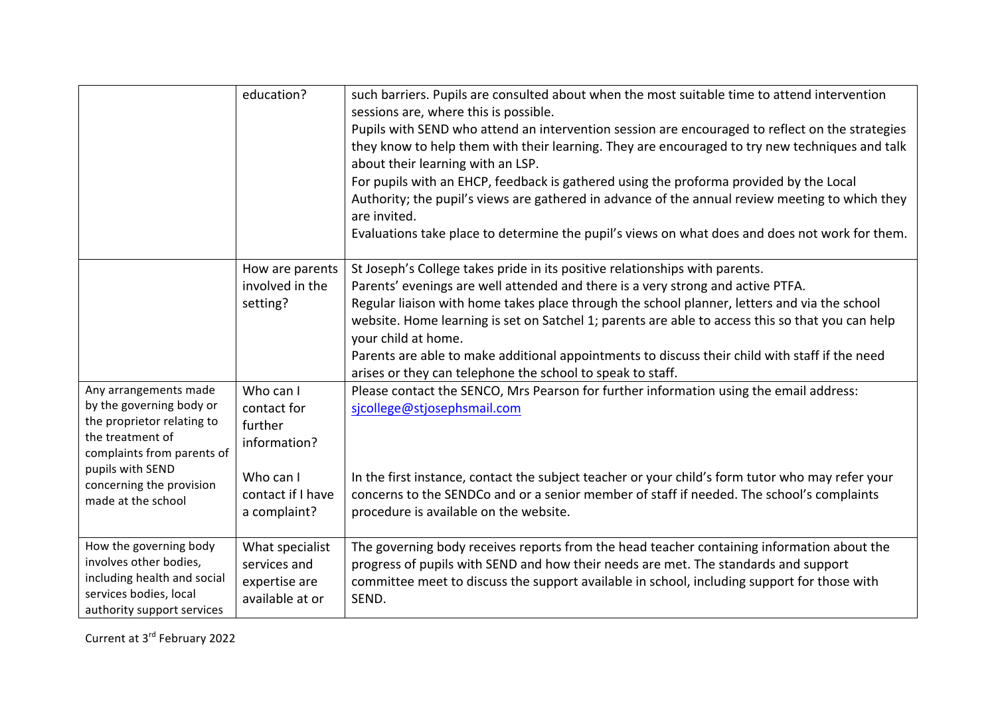|                                                                                                                                                                                                         | education?                                                                                            | such barriers. Pupils are consulted about when the most suitable time to attend intervention<br>sessions are, where this is possible.<br>Pupils with SEND who attend an intervention session are encouraged to reflect on the strategies<br>they know to help them with their learning. They are encouraged to try new techniques and talk<br>about their learning with an LSP.<br>For pupils with an EHCP, feedback is gathered using the proforma provided by the Local<br>Authority; the pupil's views are gathered in advance of the annual review meeting to which they<br>are invited.<br>Evaluations take place to determine the pupil's views on what does and does not work for them. |
|---------------------------------------------------------------------------------------------------------------------------------------------------------------------------------------------------------|-------------------------------------------------------------------------------------------------------|------------------------------------------------------------------------------------------------------------------------------------------------------------------------------------------------------------------------------------------------------------------------------------------------------------------------------------------------------------------------------------------------------------------------------------------------------------------------------------------------------------------------------------------------------------------------------------------------------------------------------------------------------------------------------------------------|
|                                                                                                                                                                                                         | How are parents<br>involved in the<br>setting?                                                        | St Joseph's College takes pride in its positive relationships with parents.<br>Parents' evenings are well attended and there is a very strong and active PTFA.<br>Regular liaison with home takes place through the school planner, letters and via the school<br>website. Home learning is set on Satchel 1; parents are able to access this so that you can help<br>your child at home.<br>Parents are able to make additional appointments to discuss their child with staff if the need<br>arises or they can telephone the school to speak to staff.                                                                                                                                      |
| Any arrangements made<br>by the governing body or<br>the proprietor relating to<br>the treatment of<br>complaints from parents of<br>pupils with SEND<br>concerning the provision<br>made at the school | Who can I<br>contact for<br>further<br>information?<br>Who can I<br>contact if I have<br>a complaint? | Please contact the SENCO, Mrs Pearson for further information using the email address:<br>sjcollege@stjosephsmail.com<br>In the first instance, contact the subject teacher or your child's form tutor who may refer your<br>concerns to the SENDCo and or a senior member of staff if needed. The school's complaints<br>procedure is available on the website.                                                                                                                                                                                                                                                                                                                               |
| How the governing body<br>involves other bodies,<br>including health and social<br>services bodies, local<br>authority support services                                                                 | What specialist<br>services and<br>expertise are<br>available at or                                   | The governing body receives reports from the head teacher containing information about the<br>progress of pupils with SEND and how their needs are met. The standards and support<br>committee meet to discuss the support available in school, including support for those with<br>SEND.                                                                                                                                                                                                                                                                                                                                                                                                      |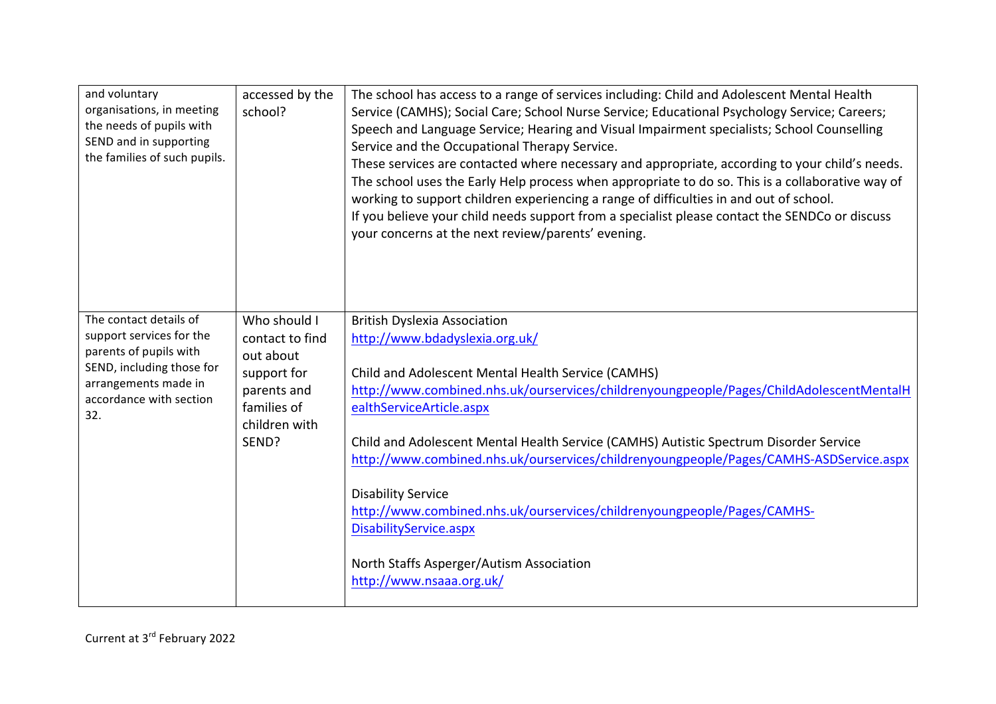| and voluntary<br>organisations, in meeting<br>the needs of pupils with<br>SEND and in supporting<br>the families of such pupils.                                    | accessed by the<br>school?                                                                                          | The school has access to a range of services including: Child and Adolescent Mental Health<br>Service (CAMHS); Social Care; School Nurse Service; Educational Psychology Service; Careers;<br>Speech and Language Service; Hearing and Visual Impairment specialists; School Counselling<br>Service and the Occupational Therapy Service.<br>These services are contacted where necessary and appropriate, according to your child's needs.<br>The school uses the Early Help process when appropriate to do so. This is a collaborative way of<br>working to support children experiencing a range of difficulties in and out of school.<br>If you believe your child needs support from a specialist please contact the SENDCo or discuss<br>your concerns at the next review/parents' evening. |
|---------------------------------------------------------------------------------------------------------------------------------------------------------------------|---------------------------------------------------------------------------------------------------------------------|---------------------------------------------------------------------------------------------------------------------------------------------------------------------------------------------------------------------------------------------------------------------------------------------------------------------------------------------------------------------------------------------------------------------------------------------------------------------------------------------------------------------------------------------------------------------------------------------------------------------------------------------------------------------------------------------------------------------------------------------------------------------------------------------------|
| The contact details of<br>support services for the<br>parents of pupils with<br>SEND, including those for<br>arrangements made in<br>accordance with section<br>32. | Who should I<br>contact to find<br>out about<br>support for<br>parents and<br>families of<br>children with<br>SEND? | <b>British Dyslexia Association</b><br>http://www.bdadyslexia.org.uk/<br>Child and Adolescent Mental Health Service (CAMHS)<br>http://www.combined.nhs.uk/ourservices/childrenyoungpeople/Pages/ChildAdolescentMentalH<br>ealthServiceArticle.aspx<br>Child and Adolescent Mental Health Service (CAMHS) Autistic Spectrum Disorder Service<br>http://www.combined.nhs.uk/ourservices/childrenyoungpeople/Pages/CAMHS-ASDService.aspx<br><b>Disability Service</b><br>http://www.combined.nhs.uk/ourservices/childrenyoungpeople/Pages/CAMHS-<br>DisabilityService.aspx<br>North Staffs Asperger/Autism Association<br>http://www.nsaaa.org.uk/                                                                                                                                                   |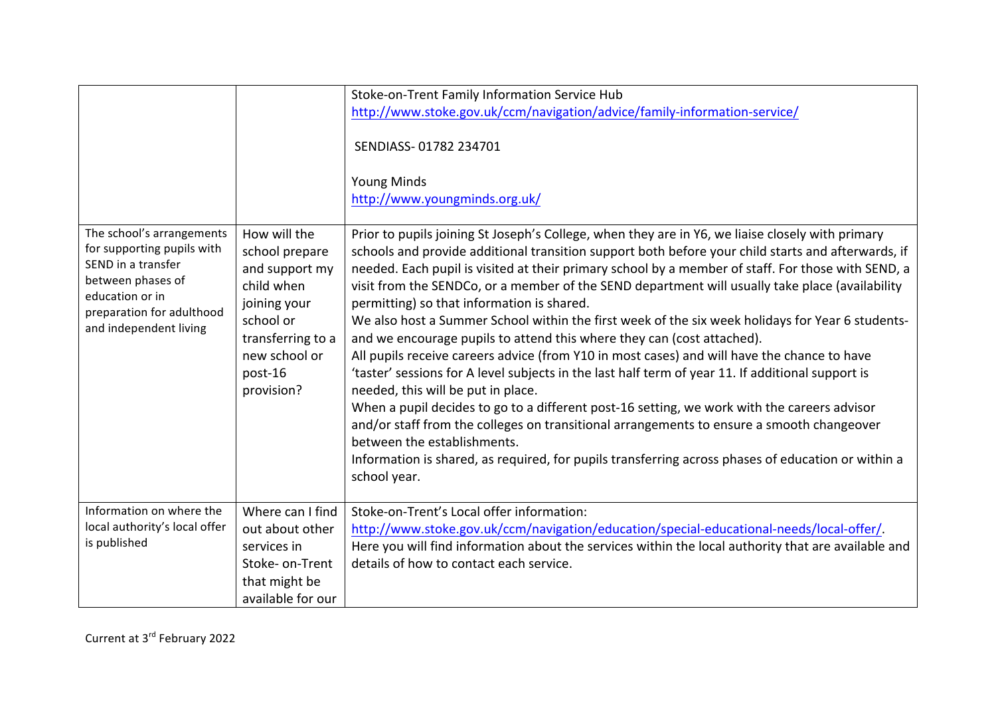|                                                                                                                                                                              |                                                                                                                                                            | Stoke-on-Trent Family Information Service Hub<br>http://www.stoke.gov.uk/ccm/navigation/advice/family-information-service/<br>SENDIASS-01782 234701<br><b>Young Minds</b><br>http://www.youngminds.org.uk/                                                                                                                                                                                                                                                                                                                                                                                                                                                                                                                                                                                                                                                                                                                                                                                                                                                                                                                                                                                                                             |
|------------------------------------------------------------------------------------------------------------------------------------------------------------------------------|------------------------------------------------------------------------------------------------------------------------------------------------------------|----------------------------------------------------------------------------------------------------------------------------------------------------------------------------------------------------------------------------------------------------------------------------------------------------------------------------------------------------------------------------------------------------------------------------------------------------------------------------------------------------------------------------------------------------------------------------------------------------------------------------------------------------------------------------------------------------------------------------------------------------------------------------------------------------------------------------------------------------------------------------------------------------------------------------------------------------------------------------------------------------------------------------------------------------------------------------------------------------------------------------------------------------------------------------------------------------------------------------------------|
| The school's arrangements<br>for supporting pupils with<br>SEND in a transfer<br>between phases of<br>education or in<br>preparation for adulthood<br>and independent living | How will the<br>school prepare<br>and support my<br>child when<br>joining your<br>school or<br>transferring to a<br>new school or<br>post-16<br>provision? | Prior to pupils joining St Joseph's College, when they are in Y6, we liaise closely with primary<br>schools and provide additional transition support both before your child starts and afterwards, if<br>needed. Each pupil is visited at their primary school by a member of staff. For those with SEND, a<br>visit from the SENDCo, or a member of the SEND department will usually take place (availability<br>permitting) so that information is shared.<br>We also host a Summer School within the first week of the six week holidays for Year 6 students-<br>and we encourage pupils to attend this where they can (cost attached).<br>All pupils receive careers advice (from Y10 in most cases) and will have the chance to have<br>'taster' sessions for A level subjects in the last half term of year 11. If additional support is<br>needed, this will be put in place.<br>When a pupil decides to go to a different post-16 setting, we work with the careers advisor<br>and/or staff from the colleges on transitional arrangements to ensure a smooth changeover<br>between the establishments.<br>Information is shared, as required, for pupils transferring across phases of education or within a<br>school year. |
| Information on where the<br>local authority's local offer<br>is published                                                                                                    | Where can I find<br>out about other<br>services in<br>Stoke- on-Trent<br>that might be<br>available for our                                                | Stoke-on-Trent's Local offer information:<br>http://www.stoke.gov.uk/ccm/navigation/education/special-educational-needs/local-offer/.<br>Here you will find information about the services within the local authority that are available and<br>details of how to contact each service.                                                                                                                                                                                                                                                                                                                                                                                                                                                                                                                                                                                                                                                                                                                                                                                                                                                                                                                                                |